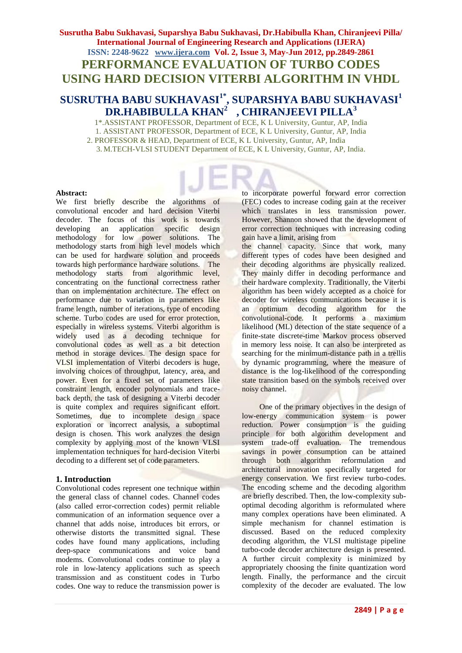## **Susrutha Babu Sukhavasi, Suparshya Babu Sukhavasi, Dr.Habibulla Khan, Chiranjeevi Pilla/ International Journal of Engineering Research and Applications (IJERA) ISSN: 2248-9622 www.ijera.com Vol. 2, Issue 3, May-Jun 2012, pp.2849-2861 PERFORMANCE EVALUATION OF TURBO CODES USING HARD DECISION VITERBI ALGORITHM IN VHDL**

# **SUSRUTHA BABU SUKHAVASI1\*, SUPARSHYA BABU SUKHAVASI<sup>1</sup> DR.HABIBULLA KHAN<sup>2</sup> , CHIRANJEEVI PILLA<sup>3</sup>**

1\*.ASSISTANT PROFESSOR, Department of ECE, K L University, Guntur, AP, India

1. ASSISTANT PROFESSOR, Department of ECE, K L University, Guntur, AP, India 2. PROFESSOR & HEAD, Department of ECE, K L University, Guntur, AP, India

3. M.TECH-VLSI STUDENT Department of ECE, K L University, Guntur, AP, India.

#### **Abstract:**

We first briefly describe the algorithms of convolutional encoder and hard decision Viterbi decoder. The focus of this work is towards developing an application specific design methodology for low power solutions. The methodology starts from high level models which can be used for hardware solution and proceeds towards high performance hardware solutions. The methodology starts from algorithmic level, concentrating on the functional correctness rather than on implementation architecture. The effect on performance due to variation in parameters like frame length, number of iterations, type of encoding scheme. Turbo codes are used for error protection, especially in wireless systems. Viterbi algorithm is widely used as a decoding technique for convolutional codes as well as a bit detection method in storage devices. The design space for VLSI implementation of Viterbi decoders is huge, involving choices of throughput, latency, area, and power. Even for a fixed set of parameters like constraint length, encoder polynomials and traceback depth, the task of designing a Viterbi decoder is quite complex and requires significant effort. Sometimes, due to incomplete design space exploration or incorrect analysis, a suboptimal design is chosen. This work analyzes the design complexity by applying most of the known VLSI implementation techniques for hard-decision Viterbi decoding to a different set of code parameters.

### **1. Introduction**

Convolutional codes represent one technique within the general class of channel codes. Channel codes (also called error-correction codes) permit reliable communication of an information sequence over a channel that adds noise, introduces bit errors, or otherwise distorts the transmitted signal. These codes have found many applications, including deep-space communications and voice band modems. Convolutional codes continue to play a role in low-latency applications such as speech transmission and as constituent codes in Turbo codes. One way to reduce the transmission power is

to incorporate powerful forward error correction (FEC) codes to increase coding gain at the receiver which translates in less transmission power. However, Shannon showed that the development of error correction techniques with increasing coding gain have a limit, arising from

the channel capacity. Since that work, many different types of codes have been designed and their decoding algorithms are physically realized. They mainly differ in decoding performance and their hardware complexity. Traditionally, the Viterbi algorithm has been widely accepted as a choice for decoder for wireless communications because it is an optimum decoding algorithm for the convolutional-code. It performs a maximum likelihood (ML) detection of the state sequence of a finite-state discrete-time Markov process observed in memory less noise. It can also be interpreted as searching for the minimum-distance path in a trellis by dynamic programming, where the measure of distance is the log-likelihood of the corresponding state transition based on the symbols received over noisy channel.

 One of the primary objectives in the design of low-energy communication system is power reduction. Power consumption is the guiding principle for both algorithm development and system trade-off evaluation. The tremendous savings in power consumption can be attained through both algorithm reformulation and architectural innovation specifically targeted for energy conservation. We first review turbo-codes. The encoding scheme and the decoding algorithm are briefly described. Then, the low-complexity suboptimal decoding algorithm is reformulated where many complex operations have been eliminated. A simple mechanism for channel estimation is discussed. Based on the reduced complexity decoding algorithm, the VLSI multistage pipeline turbo-code decoder architecture design is presented. A further circuit complexity is minimized by appropriately choosing the finite quantization word length. Finally, the performance and the circuit complexity of the decoder are evaluated. The low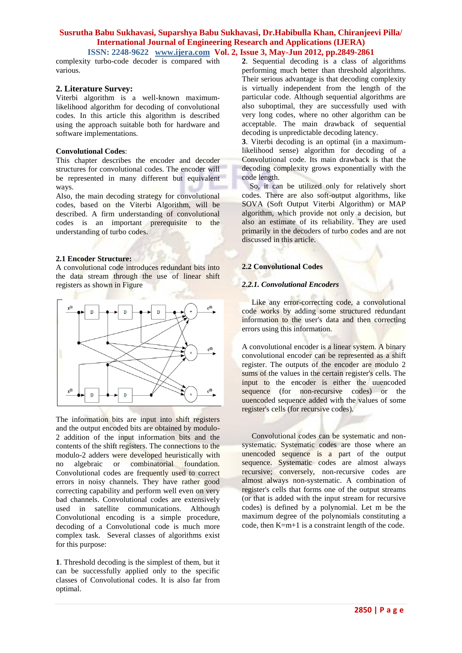complexity turbo-code decoder is compared with various.

#### **2. Literature Survey:**

Viterbi algorithm is a well-known maximumlikelihood algorithm for decoding of convolutional codes. In this article this algorithm is described using the approach suitable both for hardware and software implementations.

#### **Convolutional Codes**:

This chapter describes the encoder and decoder structures for convolutional codes. The encoder will be represented in many different but equivalent ways.

Also, the main decoding strategy for convolutional codes, based on the Viterbi Algorithm, will be described. A firm understanding of convolutional codes is an important prerequisite to the understanding of turbo codes.

#### **2.1 Encoder Structure:**

A convolutional code introduces redundant bits into the data stream through the use of linear shift registers as shown in Figure



The information bits are input into shift registers and the output encoded bits are obtained by modulo-2 addition of the input information bits and the contents of the shift registers. The connections to the modulo-2 adders were developed heuristically with no algebraic or combinatorial foundation. Convolutional codes are frequently used to correct errors in noisy channels. They have rather good correcting capability and perform well even on very bad channels. Convolutional codes are extensively used in satellite communications. Although Convolutional encoding is a simple procedure, decoding of a Convolutional code is much more complex task. Several classes of algorithms exist for this purpose:

**1**. Threshold decoding is the simplest of them, but it can be successfully applied only to the specific classes of Convolutional codes. It is also far from optimal.

**2**. Sequential decoding is a class of algorithms performing much better than threshold algorithms. Their serious advantage is that decoding complexity is virtually independent from the length of the particular code. Although sequential algorithms are also suboptimal, they are successfully used with very long codes, where no other algorithm can be acceptable. The main drawback of sequential decoding is unpredictable decoding latency.

**3**. Viterbi decoding is an optimal (in a maximumlikelihood sense) algorithm for decoding of a Convolutional code. Its main drawback is that the decoding complexity grows exponentially with the code length.

 So, it can be utilized only for relatively short codes. There are also soft-output algorithms, like SOVA (Soft Output Viterbi Algorithm) or MAP algorithm, which provide not only a decision, but also an estimate of its reliability. They are used primarily in the decoders of turbo codes and are not discussed in this article.

#### **2.2 Convolutional Codes**

#### *2.2.1. Convolutional Encoders*

Like any error-correcting code, a convolutional code works by adding some structured redundant information to the user's data and then correcting errors using this information.

A convolutional encoder is a linear system. A binary convolutional encoder can be represented as a shift register. The outputs of the encoder are modulo 2 sums of the values in the certain register's cells. The input to the encoder is either the uuencoded sequence (for non-recursive codes) or the uuencoded sequence added with the values of some register's cells (for recursive codes).

 Convolutional codes can be systematic and nonsystematic. Systematic codes are those where an unencoded sequence is a part of the output sequence. Systematic codes are almost always recursive; conversely, non-recursive codes are almost always non-systematic. A combination of register's cells that forms one of the output streams (or that is added with the input stream for recursive codes) is defined by a polynomial. Let m be the maximum degree of the polynomials constituting a code, then K=m+1 is a constraint length of the code.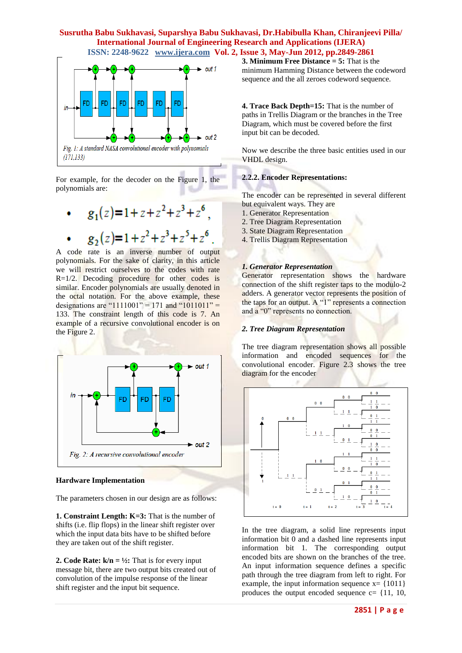

For example, for the decoder on the Figure 1, the polynomials are:

 $g_1(z)=1+z+z^2+z^3+z^6$ ,  $g_2(z)=1+z^2+z^3+z^5+z^6$ 

A code rate is an inverse number of output polynomials. For the sake of clarity, in this article we will restrict ourselves to the codes with rate  $R=1/2$ . Decoding procedure for other codes is similar. Encoder polynomials are usually denoted in the octal notation. For the above example, these designations are "1111001" = 171 and "1011011" = 133. The constraint length of this code is 7. An example of a recursive convolutional encoder is on the Figure 2.



#### **Hardware Implementation**

The parameters chosen in our design are as follows:

**1. Constraint Length: K=3:** That is the number of shifts (i.e. flip flops) in the linear shift register over which the input data bits have to be shifted before they are taken out of the shift register.

**2. Code Rate:**  $k/n = \frac{1}{2}$ : That is for every input message bit, there are two output bits created out of convolution of the impulse response of the linear shift register and the input bit sequence.

**3. Minimum Free Distance = 5:** That is the minimum Hamming Distance between the codeword sequence and the all zeroes codeword sequence.

**4. Trace Back Depth=15:** That is the number of paths in Trellis Diagram or the branches in the Tree Diagram, which must be covered before the first input bit can be decoded.

Now we describe the three basic entities used in our VHDL design.

#### **2.2.2. Encoder Representations:**

The encoder can be represented in several different but equivalent ways. They are

- 1. Generator Representation
- 2. Tree Diagram Representation
- 3. State Diagram Representation
- 4. Trellis Diagram Representation

#### *1. Generator Representation*

Generator representation shows the hardware connection of the shift register taps to the modulo-2 adders. A generator vector represents the position of the taps for an output. A "1" represents a connection and a "0" represents no connection.

#### *2. Tree Diagram Representation*

The tree diagram representation shows all possible information and encoded sequences for the convolutional encoder. Figure 2.3 shows the tree diagram for the encoder



In the tree diagram, a solid line represents input information bit 0 and a dashed line represents input information bit 1. The corresponding output encoded bits are shown on the branches of the tree. An input information sequence defines a specific path through the tree diagram from left to right. For example, the input information sequence  $x = \{1011\}$ produces the output encoded sequence  $c = \{11, 10, \ldots\}$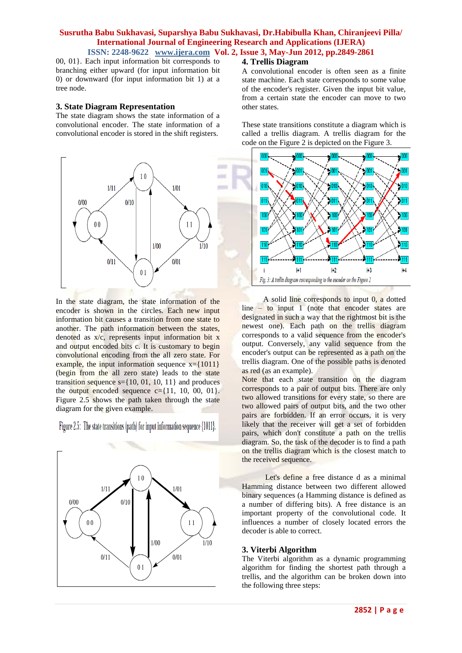00, 01}. Each input information bit corresponds to branching either upward (for input information bit 0) or downward (for input information bit 1) at a tree node.

#### **3. State Diagram Representation**

The state diagram shows the state information of a convolutional encoder. The state information of a convolutional encoder is stored in the shift registers.



In the state diagram, the state information of the encoder is shown in the circles. Each new input information bit causes a transition from one state to another. The path information between the states, denoted as x/c, represents input information bit x and output encoded bits c. It is customary to begin convolutional encoding from the all zero state. For example, the input information sequence  $x=$ {1011} (begin from the all zero state) leads to the state transition sequence  $s = \{10, 01, 10, 11\}$  and produces the output encoded sequence  $c = \{11, 10, 00, 01\}.$ Figure 2.5 shows the path taken through the state diagram for the given example.

Figure 2.5: The state transitions (path) for input information sequence {1011}.



# **4. Trellis Diagram**

A convolutional encoder is often seen as a finite state machine. Each state corresponds to some value of the encoder's register. Given the input bit value, from a certain state the encoder can move to two other states.

These state transitions constitute a diagram which is called a trellis diagram. A trellis diagram for the code on the Figure 2 is depicted on the Figure 3.



A solid line corresponds to input  $0$ , a dotted line – to input 1 (note that encoder states are designated in such a way that the rightmost bit is the newest one). Each path on the trellis diagram corresponds to a valid sequence from the encoder's output. Conversely, any valid sequence from the encoder's output can be represented as a path on the trellis diagram. One of the possible paths is denoted as red (as an example).

Note that each state transition on the diagram corresponds to a pair of output bits. There are only two allowed transitions for every state, so there are two allowed pairs of output bits, and the two other pairs are forbidden. If an error occurs, it is very likely that the receiver will get a set of forbidden pairs, which don't constitute a path on the trellis diagram. So, the task of the decoder is to find a path on the trellis diagram which is the closest match to the received sequence.

 Let's define a free distance d as a minimal Hamming distance between two different allowed binary sequences (a Hamming distance is defined as a number of differing bits). A free distance is an important property of the convolutional code. It influences a number of closely located errors the decoder is able to correct.

#### **3. Viterbi Algorithm**

The Viterbi algorithm as a dynamic programming algorithm for finding the shortest path through a trellis, and the algorithm can be broken down into the following three steps: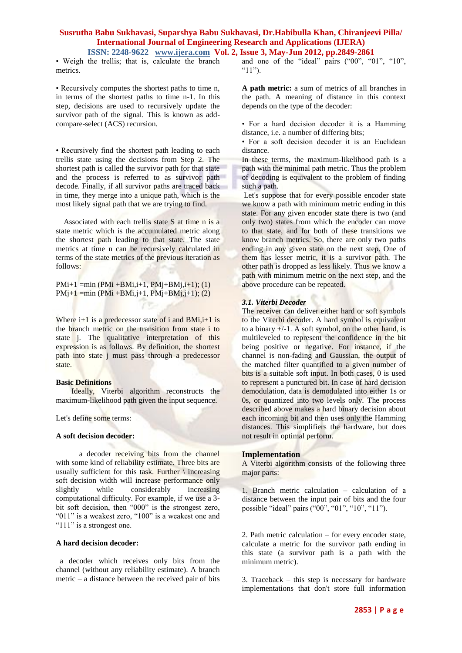• Weigh the trellis; that is, calculate the branch metrics.

• Recursively computes the shortest paths to time n, in terms of the shortest paths to time n-1. In this step, decisions are used to recursively update the survivor path of the signal. This is known as addcompare-select (ACS) recursion.

• Recursively find the shortest path leading to each trellis state using the decisions from Step 2. The shortest path is called the survivor path for that state and the process is referred to as survivor path decode. Finally, if all survivor paths are traced back in time, they merge into a unique path, which is the most likely signal path that we are trying to find.

 Associated with each trellis state S at time n is a state metric which is the accumulated metric along the shortest path leading to that state. The state metrics at time n can be recursively calculated in terms of the state metrics of the previous iteration as follows:

 $PMi+1 = min (PMi + BMi,i+1, PMj+BMj,i+1); (1)$  $PMj+1 = min (PMi + BMi, j+1, PMj + BMi, j+1); (2)$ 

Where  $i+1$  is a predecessor state of i and BMi, $i+1$  is the branch metric on the transition from state i to state *i*. The qualitative interpretation of this expression is as follows. By definition, the shortest path into state j must pass through a predecessor state.

#### **Basic Definitions**

 Ideally, Viterbi algorithm reconstructs the maximum-likelihood path given the input sequence.

Let's define some terms:

#### **A soft decision decoder:**

 a decoder receiving bits from the channel with some kind of reliability estimate. Three bits are usually sufficient for this task. Further  $\setminus$  increasing soft decision width will increase performance only slightly while considerably increasing computational difficulty. For example, if we use a 3 bit soft decision, then "000" is the strongest zero, "011" is a weakest zero, "100" is a weakest one and "111" is a strongest one.

#### **A hard decision decoder:**

a decoder which receives only bits from the channel (without any reliability estimate). A branch metric – a distance between the received pair of bits

and one of the "ideal" pairs ("00", "01", "10", " $1$ ").

**A path metric:** a sum of metrics of all branches in the path. A meaning of distance in this context depends on the type of the decoder:

• For a hard decision decoder it is a Hamming distance, i.e. a number of differing bits;

• For a soft decision decoder it is an Euclidean distance.

In these terms, the maximum-likelihood path is a path with the minimal path metric. Thus the problem of decoding is equivalent to the problem of finding such a path.

Let's suppose that for every possible encoder state we know a path with minimum metric ending in this state. For any given encoder state there is two (and only two) states from which the encoder can move to that state, and for both of these transitions we know branch metrics. So, there are only two paths ending in any given state on the next step. One of them has lesser metric, it is a survivor path. The other path is dropped as less likely. Thus we know a path with minimum metric on the next step, and the above procedure can be repeated.

#### *3.1. Viterbi Decoder*

The receiver can deliver either hard or soft symbols to the Viterbi decoder. A hard symbol is equivalent to a binary  $+/-1$ . A soft symbol, on the other hand, is multileveled to represent the confidence in the bit being positive or negative. For instance, if the channel is non-fading and Gaussian, the output of the matched filter quantified to a given number of bits is a suitable soft input. In both cases, 0 is used to represent a punctured bit. In case of hard decision demodulation, data is demodulated into either 1s or 0s, or quantized into two levels only. The process described above makes a hard binary decision about each incoming bit and then uses only the Hamming distances. This simplifiers the hardware, but does not result in optimal perform.

#### **Implementation**

A Viterbi algorithm consists of the following three major parts:

1. Branch metric calculation – calculation of a distance between the input pair of bits and the four possible "ideal" pairs ("00", "01", "10", "11").

2. Path metric calculation – for every encoder state, calculate a metric for the survivor path ending in this state (a survivor path is a path with the minimum metric).

3. Traceback – this step is necessary for hardware implementations that don't store full information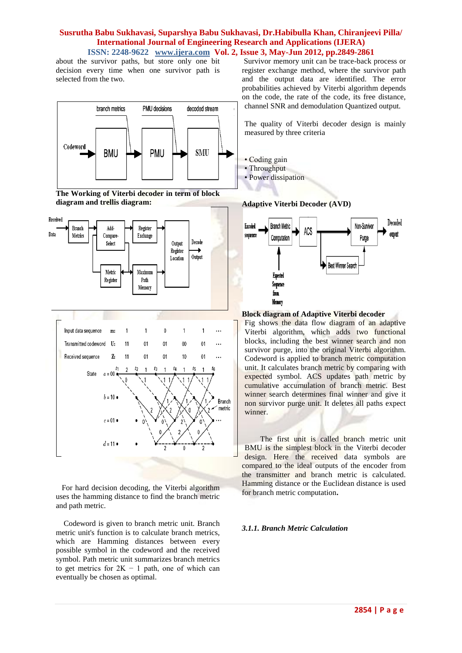about the survivor paths, but store only one bit decision every time when one survivor path is selected from the two.







 For hard decision decoding, the Viterbi algorithm uses the hamming distance to find the branch metric and path metric.

 Codeword is given to branch metric unit. Branch metric unit's function is to calculate branch metrics, which are Hamming distances between every possible symbol in the codeword and the received symbol. Path metric unit summarizes branch metrics to get metrics for  $2K - 1$  path, one of which can eventually be chosen as optimal.

Survivor memory unit can be trace-back process or register exchange method, where the survivor path and the output data are identified. The error probabilities achieved by Viterbi algorithm depends on the code, the rate of the code, its free distance, channel SNR and demodulation Quantized output.

The quality of Viterbi decoder design is mainly measured by three criteria

- Coding gain
- Throughput
- Power dissipation

**Adaptive Viterbi Decoder (AVD)**



**Block diagram of Adaptive Viterbi decoder**

Fig shows the data flow diagram of an adaptive Viterbi algorithm, which adds two functional blocks, including the best winner search and non survivor purge, into the original Viterbi algorithm. Codeword is applied to branch metric computation unit. It calculates branch metric by comparing with expected symbol. ACS updates path metric by cumulative accumulation of branch metric. Best winner search determines final winner and give it non survivor purge unit. It deletes all paths expect winner.

The first unit is called branch metric unit BMU is the simplest block in the Viterbi decoder design. Here the received data symbols are compared to the ideal outputs of the encoder from the transmitter and branch metric is calculated. Hamming distance or the Euclidean distance is used for branch metric computation**.**

### *3.1.1. Branch Metric Calculation*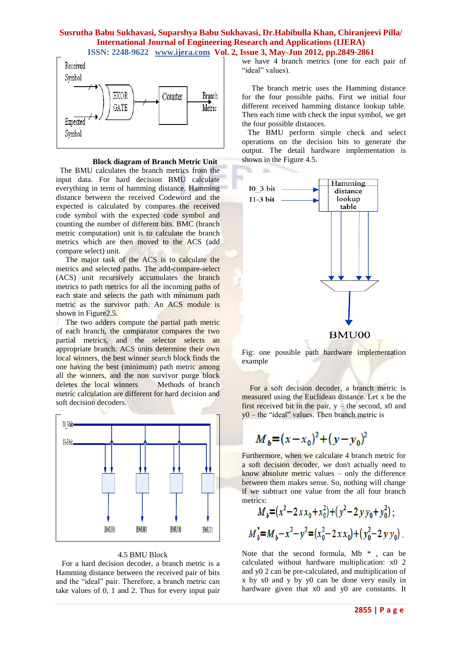

 **Block diagram of Branch Metric Unit** The BMU calculates the branch metrics from the input data. For hard decision BMU calculate everything in term of hamming distance. Hamming distance between the received Codeword and the expected is calculated by compares the received code symbol with the expected code symbol and counting the number of different bits. BMC (branch metric computation) unit is to calculate the branch metrics which are then moved to the ACS (add compare select) unit.

The major task of the ACS is to calculate the metrics and selected paths. The add-compare-select (ACS) unit recursively accumulates the branch metrics to path metrics for all the incoming paths of each state and selects the path with minimum path metric as the survivor path. An ACS module is shown in Figure 2.5.

 The two adders compute the partial path metric of each branch, the comparator compares the two partial metrics, and the selector selects an appropriate branch. ACS units determine their own local winners, the best winner search block finds the one having the best (minimum) path metric among all the winners, and the non survivor purge block deletes the local winners Methods of branch metric calculation are different for hard decision and soft decision decoders.



#### 4.5 BMU Block

For a hard decision decoder, a branch metric is a Hamming distance between the received pair of bits and the "ideal" pair. Therefore, a branch metric can take values of 0, 1 and 2. Thus for every input pair we have 4 branch metrics (one for each pair of "ideal" values).

 The branch metric uses the Hamming distance for the four possible paths. First we initial four different received hamming distance lookup table. Then each time with check the input symbol, we get the four possible distances.

 The BMU perform simple check and select operations on the decision bits to generate the output. The detail hardware implementation is shown in the Figure 4.5.



Fig: one possible path hardware implementation example

 For a soft decision decoder, a branch metric is measured using the Euclidean distance. Let x be the first received bit in the pair,  $y$  – the second,  $x0$  and y0 – the "ideal" values. Then branch metric is

$$
M_b = (x - x_0)^2 + (y - y_0)^2
$$

Furthermore, when we calculate 4 branch metric for a soft decision decoder, we don't actually need to know absolute metric values – only the difference between them makes sense. So, nothing will change if we subtract one value from the all four branch metrics:

$$
M_b = (x^2 - 2xx_0 + x_0^2) + (y^2 - 2yy_0 + y_0^2);
$$
  
\n
$$
M_b^* = M_b - x^2 - y^2 = (x_0^2 - 2xx_0) + (y_0^2 - 2yy_0).
$$

l.

Note that the second formula, Mb  $*$ , can be calculated without hardware multiplication: x0 2 and y0 2 can be pre-calculated, and multiplication of x by x0 and y by y0 can be done very easily in hardware given that x0 and y0 are constants. It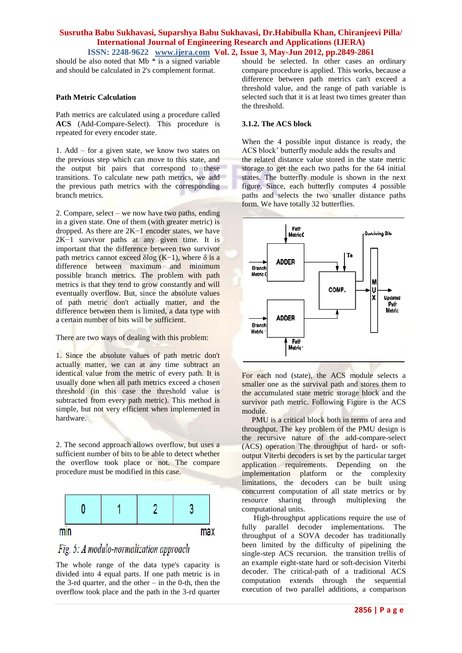should be also noted that Mb \* is a signed variable and should be calculated in 2's complement format.

#### **Path Metric Calculation**

Path metrics are calculated using a procedure called **ACS** (Add-Compare-Select). This procedure is repeated for every encoder state.

1. Add – for a given state, we know two states on the previous step which can move to this state, and the output bit pairs that correspond to these transitions. To calculate new path metrics, we add the previous path metrics with the corresponding branch metrics.

2. Compare, select – we now have two paths, ending in a given state. One of them (with greater metric) is dropped. As there are 2K−1 encoder states, we have 2K−1 survivor paths at any given time. It is important that the difference between two survivor path metrics cannot exceed  $\delta$ log (K−1), where  $\delta$  is a difference between maximum and minimum possible branch metrics. The problem with path metrics is that they tend to grow constantly and will eventually overflow. But, since the absolute values of path metric don't actually matter, and the difference between them is limited, a data type with a certain number of bits will be sufficient.

There are two ways of dealing with this problem:

1. Since the absolute values of path metric don't actually matter, we can at any time subtract an identical value from the metric of every path. It is usually done when all path metrics exceed a chosen threshold (in this case the threshold value is subtracted from every path metric). This method is simple, but not very efficient when implemented in hardware.

2. The second approach allows overflow, but uses a sufficient number of bits to be able to detect whether the overflow took place or not. The compare procedure must be modified in this case.



# Fig. 5: A modulo-normalization approach

The whole range of the data type's capacity is divided into 4 equal parts. If one path metric is in the 3-rd quarter, and the other  $-$  in the 0-th, then the overflow took place and the path in the 3-rd quarter should be selected. In other cases an ordinary compare procedure is applied. This works, because a difference between path metrics can't exceed a threshold value, and the range of path variable is selected such that it is at least two times greater than the threshold.

#### **3.1.2. The ACS block**

When the 4 possible input distance is ready, the ACS block' butterfly module adds the results and the related distance value stored in the state metric storage to get the each two paths for the 64 initial states. The butterfly module is shown in the next figure. Since, each butterfly computes 4 possible paths and selects the two smaller distance paths form. We have totally 32 butterflies.



For each nod (state), the ACS module selects a smaller one as the survival path and stores them to the accumulated state metric storage block and the survivor path metric. Following Figure is the ACS module.

 PMU is a critical block both in terms of area and throughput. The key problem of the PMU design is the recursive nature of the add-compare-select (ACS) operation The throughput of hard- or softoutput Viterbi decoders is set by the particular target application requirements. Depending on the implementation platform or the complexity limitations, the decoders can be built using concurrent computation of all state metrics or by resource sharing through multiplexing the computational units.

 High-throughput applications require the use of fully parallel decoder implementations. The throughput of a SOVA decoder has traditionally been limited by the difficulty of pipelining the single-step ACS recursion. the transition trellis of an example eight-state hard or soft-decision Viterbi decoder. The critical-path of a traditional ACS computation extends through the sequential execution of two parallel additions, a comparison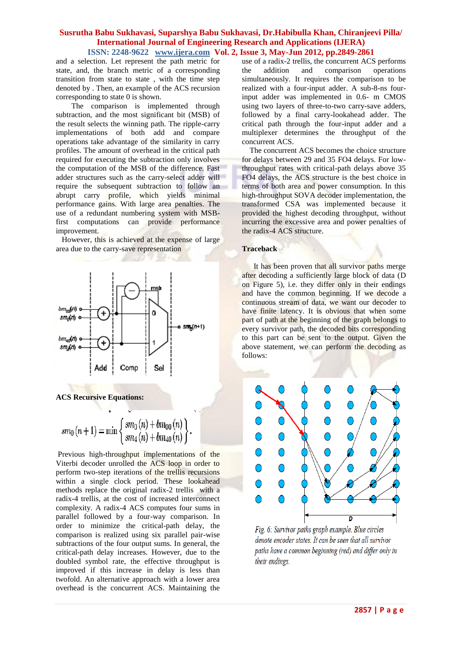and a selection. Let represent the path metric for state, and, the branch metric of a corresponding transition from state to state , with the time step denoted by . Then, an example of the ACS recursion corresponding to state 0 is shown.

 The comparison is implemented through subtraction, and the most significant bit (MSB) of the result selects the winning path. The ripple-carry implementations of both add and compare operations take advantage of the similarity in carry profiles. The amount of overhead in the critical path required for executing the subtraction only involves the computation of the MSB of the difference. Fast adder structures such as the carry-select adder will require the subsequent subtraction to follow an abrupt carry profile, which yields minimal performance gains. With large area penalties. The use of a redundant numbering system with MSBfirst computations can provide performance improvement.

 However, this is achieved at the expense of large area due to the carry-save representation



**ACS Recursive Equations:**

$$
sm_0(n+1) = \min \left\{ \frac{sm_0(n) + bm_{00}(n)}{sm_4(n) + bm_{40}(n)} \right\}.
$$

Previous high-throughput implementations of the Viterbi decoder unrolled the ACS loop in order to perform two-step iterations of the trellis recursions within a single clock period. These lookahead methods replace the original radix-2 trellis with a radix-4 trellis, at the cost of increased interconnect complexity. A radix-4 ACS computes four sums in parallel followed by a four-way comparison. In order to minimize the critical-path delay, the comparison is realized using six parallel pair-wise subtractions of the four output sums. In general, the critical-path delay increases. However, due to the doubled symbol rate, the effective throughput is improved if this increase in delay is less than twofold. An alternative approach with a lower area overhead is the concurrent ACS. Maintaining the use of a radix-2 trellis, the concurrent ACS performs the addition and comparison operations simultaneously. It requires the comparison to be realized with a four-input adder. A sub-8-ns fourinput adder was implemented in 0.6- m CMOS using two layers of three-to-two carry-save adders, followed by a final carry-lookahead adder. The critical path through the four-input adder and a multiplexer determines the throughput of the concurrent ACS.

 The concurrent ACS becomes the choice structure for delays between 29 and 35 FO4 delays. For lowthroughput rates with critical-path delays above 35 FO4 delays, the ACS structure is the best choice in terms of both area and power consumption. In this high-throughput SOVA decoder implementation, the transformed CSA was implemented because it provided the highest decoding throughput, without incurring the excessive area and power penalties of the radix-4 ACS structure.

#### **Traceback**

It has been proven that all survivor paths merge after decoding a sufficiently large block of data (D on Figure 5), i.e. they differ only in their endings and have the common beginning. If we decode a continuous stream of data, we want our decoder to have finite latency. It is obvious that when some part of path at the beginning of the graph belongs to every survivor path, the decoded bits corresponding to this part can be sent to the output. Given the above statement, we can perform the decoding as follows:



Fig. 6: Survivor paths graph example. Blue circles denote encoder states. It can be seen that all survivor paths have a common beginning (red) and differ only in their endings.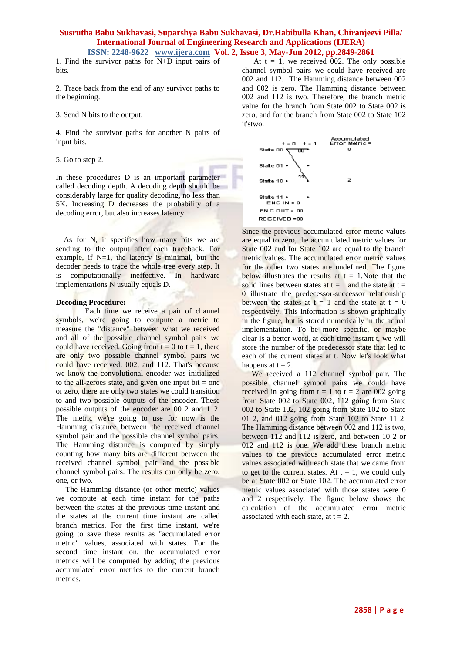1. Find the survivor paths for N+D input pairs of bits.

2. Trace back from the end of any survivor paths to the beginning.

3. Send N bits to the output.

4. Find the survivor paths for another N pairs of input bits.

5. Go to step 2.

In these procedures D is an important parameter called decoding depth. A decoding depth should be considerably large for quality decoding, no less than 5K. Increasing D decreases the probability of a decoding error, but also increases latency.

As for N, it specifies how many bits we are sending to the output after each traceback. For example, if  $N=1$ , the latency is minimal, but the decoder needs to trace the whole tree every step. It is computationally ineffective. In hardware implementations N usually equals D.

### **Decoding Procedure:**

Each time we receive a pair of channel symbols, we're going to compute a metric to measure the "distance" between what we received and all of the possible channel symbol pairs we could have received. Going from  $t = 0$  to  $t = 1$ , there are only two possible channel symbol pairs we could have received: 002, and 112. That's because we know the convolutional encoder was initialized to the all-zeroes state, and given one input bit  $=$  one or zero, there are only two states we could transition to and two possible outputs of the encoder. These possible outputs of the encoder are 00 2 and 112. The metric we're going to use for now is the Hamming distance between the received channel symbol pair and the possible channel symbol pairs. The Hamming distance is computed by simply counting how many bits are different between the received channel symbol pair and the possible channel symbol pairs. The results can only be zero, one, or two.

 The Hamming distance (or other metric) values we compute at each time instant for the paths between the states at the previous time instant and the states at the current time instant are called branch metrics. For the first time instant, we're going to save these results as "accumulated error metric" values, associated with states. For the second time instant on, the accumulated error metrics will be computed by adding the previous accumulated error metrics to the current branch metrics.

At  $t = 1$ , we received 002. The only possible channel symbol pairs we could have received are 002 and 112. The Hamming distance between 002 and 002 is zero. The Hamming distance between 002 and 112 is two. Therefore, the branch metric value for the branch from State 002 to State 002 is zero, and for the branch from State 002 to State 102 it'stwo.



Since the previous accumulated error metric values are equal to zero, the accumulated metric values for State 002 and for State 102 are equal to the branch metric values. The accumulated error metric values for the other two states are undefined. The figure below illustrates the results at  $t = 1$ . Note that the solid lines between states at  $t = 1$  and the state at  $t =$ 0 illustrate the predecessor-successor relationship between the states at  $t = 1$  and the state at  $t = 0$ respectively. This information is shown graphically in the figure, but is stored numerically in the actual implementation. To be more specific, or maybe clear is a better word, at each time instant t, we will store the number of the predecessor state that led to each of the current states at t. Now let's look what happens at  $t = 2$ .

 We received a 112 channel symbol pair. The possible channel symbol pairs we could have received in going from  $t = 1$  to  $t = 2$  are 002 going from State 002 to State 002, 112 going from State 002 to State 102, 102 going from State 102 to State 01 2, and 012 going from State 102 to State 11 2. The Hamming distance between 002 and 112 is two, between 112 and 112 is zero, and between 10 2 or 012 and 112 is one. We add these branch metric values to the previous accumulated error metric values associated with each state that we came from to get to the current states. At  $t = 1$ , we could only be at State 002 or State 102. The accumulated error metric values associated with those states were 0 and 2 respectively. The figure below shows the calculation of the accumulated error metric associated with each state, at  $t = 2$ .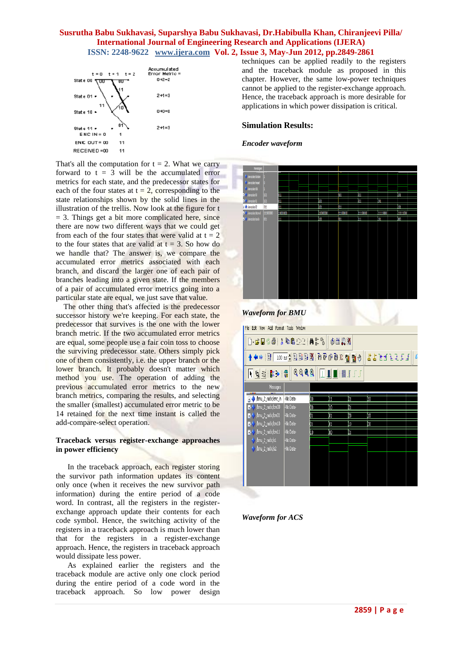

That's all the computation for  $t = 2$ . What we carry forward to  $t = 3$  will be the accumulated error metrics for each state, and the predecessor states for each of the four states at  $t = 2$ , corresponding to the state relationships shown by the solid lines in the illustration of the trellis. Now look at the figure for t  $= 3$ . Things get a bit more complicated here, since there are now two different ways that we could get from each of the four states that were valid at  $t = 2$ to the four states that are valid at  $t = 3$ . So how do we handle that? The answer is, we compare the accumulated error metrics associated with each branch, and discard the larger one of each pair of branches leading into a given state. If the members of a pair of accumulated error metrics going into a particular state are equal, we just save that value.

 The other thing that's affected is the predecessor successor history we're keeping. For each state, the predecessor that survives is the one with the lower branch metric. If the two accumulated error metrics are equal, some people use a fair coin toss to choose the surviving predecessor state. Others simply pick one of them consistently, i.e. the upper branch or the lower branch. It probably doesn't matter which method you use. The operation of adding the previous accumulated error metrics to the new branch metrics, comparing the results, and selecting the smaller (smallest) accumulated error metric to be 14 retained for the next time instant is called the add-compare-select operation.

#### **Traceback versus register-exchange approaches in power efficiency**

In the traceback approach, each register storing the survivor path information updates its content only once (when it receives the new survivor path information) during the entire period of a code word. In contrast, all the registers in the registerexchange approach update their contents for each code symbol. Hence, the switching activity of the registers in a traceback approach is much lower than that for the registers in a register-exchange approach. Hence, the registers in traceback approach would dissipate less power.

 As explained earlier the registers and the traceback module are active only one clock period during the entire period of a code word in the traceback approach. So low power design techniques can be applied readily to the registers and the traceback module as proposed in this chapter. However, the same low-power techniques cannot be applied to the register-exchange approach. Hence, the traceback approach is more desirable for applications in which power dissipation is critical.

### **Simulation Results:**

#### *Encoder waveform*



### *Waveform for BMU*

| View<br>Edit,<br>Fie                                                                                                                                 | Add Format Tools Window |            |     |    |    |  |  |  |  |
|------------------------------------------------------------------------------------------------------------------------------------------------------|-------------------------|------------|-----|----|----|--|--|--|--|
| $\lceil \cdot \beta \rceil$ , and $\lceil \cdot \beta \rceil$ , and $\lceil \cdot \beta \rceil$<br>多西夏区                                              |                         |            |     |    |    |  |  |  |  |
| $\mathcal{O}$ of $\mathbb{R}$ $\mathcal{B}$ $\mathcal{B}$ $\mathcal{B}$ $\mathcal{B}$ of $\mathcal{B}$ is a confident $\mathcal{B}$ is $\mathcal{A}$ |                         | $57577777$ |     |    |    |  |  |  |  |
| 9999<br>【 回 国 郎 米   僧<br>▌▏▓▐▁▏▔                                                                                                                     |                         |            |     |    |    |  |  |  |  |
| Messages                                                                                                                                             |                         |            |     |    |    |  |  |  |  |
| /bmu_2_radix/enc_in                                                                                                                                  | -No Data-               | Ì0         | Ĭ11 | 'n | Ю  |  |  |  |  |
| /bmu_2_radix/bm00<br>Ŧ                                                                                                                               | -No Data-               | Ĭ00        | 'n  | ū  |    |  |  |  |  |
| /bmu_2_radix/bm01<br>Ŧ                                                                                                                               | -No Data-               | ÏЛ         | 'n  | Φ  | IO |  |  |  |  |
| /bmu_2_radix/bm10<br>Ŧ                                                                                                                               | -No Data-               | Ш          | 'n  | Ю  | w  |  |  |  |  |
| /bmu_2_radix/bm11<br>Ŧ                                                                                                                               | -No Data-               | ÌΟ         | (m  | 'n |    |  |  |  |  |
| /bmu_2_radix/s1                                                                                                                                      | -No Data-               |            |     |    |    |  |  |  |  |
| /bmu_2_radix/s2                                                                                                                                      | -No Data-               |            |     |    |    |  |  |  |  |
|                                                                                                                                                      |                         |            |     |    |    |  |  |  |  |
|                                                                                                                                                      |                         |            |     |    |    |  |  |  |  |
|                                                                                                                                                      |                         |            |     |    |    |  |  |  |  |
|                                                                                                                                                      |                         |            |     |    |    |  |  |  |  |

*Waveform for ACS*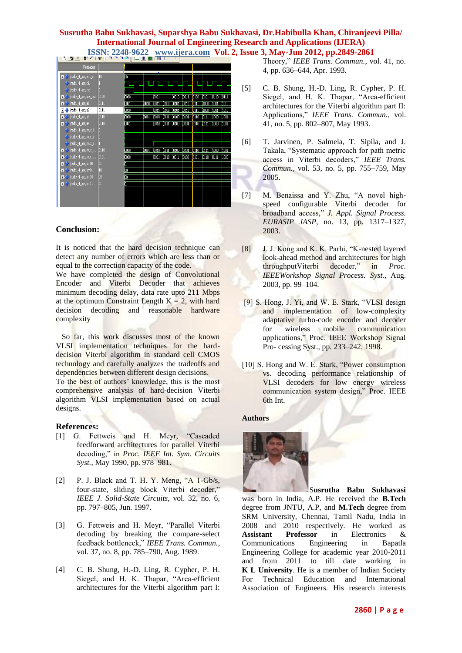| Messages                       |      |        |       |        |        |        |             |              |       |        |      |
|--------------------------------|------|--------|-------|--------|--------|--------|-------------|--------------|-------|--------|------|
| T-◆ /radix_4_acs/enc_in        | Iπ   | ÏΠ     |       |        |        |        |             |              |       |        |      |
| /radix_4_acs/clk               |      |        |       |        |        |        |             |              |       |        |      |
| /radix 4 acs/rst               |      |        |       |        |        |        |             |              |       |        |      |
| /radix_4_acs/acs_out<br>Ŧ      | 0100 | inom   |       | 0001   |        | (1010) | <b>DOLL</b> | 0100         | 0101  | 10110  | 0111 |
| /radix 4 acs/a1<br>Ŧ.          | 0111 | inom   | 0010  | 0011   | 00 OO  | iotot  | DU 10       | <b>D</b> 111 | 1000  | tom    | 1010 |
| /radix 4 acs/a2                | 0111 | imm    |       | X0011  | 101.00 | 10101  | DI 10       | b111         | 1000  | (1001  | 1010 |
| /radix 4 acs/a3                | 0110 | inoon. | œш    | 0010   | ioon n | 0100   | mor         | <b>buto</b>  | MIL   | (rom   | 1001 |
| /radix 4 acs/a4<br>4.          | 0110 | (OOOL  |       | iono I | (0011  | 0100   | <b>MO1</b>  | 0110         | DI 11 | (1000  | 1001 |
| /radix_4_acs/mux_i…  0         |      |        |       |        |        |        |             |              |       |        |      |
| /radix_4_acs/mux_i 0           |      |        |       |        |        |        |             |              |       |        |      |
| /radix_4_acs/mux_i             |      |        |       |        |        |        |             |              |       |        |      |
| /radix_4_acs/mux_<br>$+1$      | 0110 | ioooo  | (OOD) | 0010   | 1001 1 | Y0100  | Juon        | 0110         | D111  | (1000  | 1001 |
| fradix_4_acs/mux_<br>Ŧ.        | 0101 | ioooo  |       | 0001   | 10010  | (OO11  | D100        | <b>D101</b>  | D1 10 | IO 111 | 1000 |
| /radix_4_acs/bm00<br>Ŧ.        | 101  | 'nι    |       |        |        |        |             |              |       |        |      |
| /radix_4_acs/bm01<br>$+$       | hα   | ίm     |       |        |        |        |             |              |       |        |      |
| $\leftarrow$ /radix_4_acs/bm10 | loo  | π      |       |        |        |        |             |              |       |        |      |
| + /radix_4_acs/bm11            | b    | ĬΠ     |       |        |        |        |             |              |       |        |      |
|                                |      |        |       |        |        |        |             |              |       |        |      |
|                                |      |        |       |        |        |        |             |              |       |        |      |
|                                |      |        |       |        |        |        |             |              |       |        |      |

### **Conclusion:**

It is noticed that the hard decision technique can detect any number of errors which are less than or equal to the correction capacity of the code.

We have completed the design of Convolutional Encoder and Viterbi Decoder that achieves minimum decoding delay, data rate upto 211 Mbps at the optimum Constraint Length  $K = 2$ , with hard decision decoding and reasonable hardware complexity

 So far, this work discusses most of the known VLSI implementation techniques for the harddecision Viterbi algorithm in standard cell CMOS technology and carefully analyzes the tradeoffs and dependencies between different design decisions.

To the best of authors' knowledge, this is the most comprehensive analysis of hard-decision Viterbi algorithm VLSI implementation based on actual designs.

#### **References:**

- [1] G. Fettweis and H. Meyr, "Cascaded feedforward architectures for parallel Viterbi decoding," in *Proc. IEEE Int. Sym. Circuits Syst.*, May 1990, pp. 978–981.
- [2] P. J. Black and T. H. Y. Meng, "A 1-Gb/s, four-state, sliding block Viterbi decoder," *IEEE J. Solid-State Circuits*, vol. 32, no. 6, pp. 797–805, Jun. 1997.
- [3] G. Fettweis and H. Meyr, "Parallel Viterbi decoding by breaking the compare-select feedback bottleneck," *IEEE Trans. Commun.*, vol. 37, no. 8, pp. 785–790, Aug. 1989.
- [4] C. B. Shung, H.-D. Ling, R. Cypher, P. H. Siegel, and H. K. Thapar, "Area-efficient architectures for the Viterbi algorithm part I:

Theory," *IEEE Trans. Commun.*, vol. 41, no. 4, pp. 636–644, Apr. 1993.

- [5] C. B. Shung, H.-D. Ling, R. Cypher, P. H. Siegel, and H. K. Thapar, "Area-efficient architectures for the Viterbi algorithm part II: Applications," *IEEE Trans. Commun.*, vol. 41, no. 5, pp. 802–807, May 1993.
- [6] T. Jarvinen, P. Salmela, T. Sipila, and J. Takala, "Systematic approach for path metric access in Viterbi decoders," *IEEE Trans. Commun.*, vol. 53, no. 5, pp. 755–759, May 2005.
- [7] M. Benaissa and Y. Zhu, "A novel highspeed configurable Viterbi decoder for broadband access," *J. Appl. Signal Process. EURASIP JASP*, no. 13, pp. 1317–1327, 2003.
- [8] J. J. Kong and K. K. Parhi, "K-nested layered look-ahead method and architectures for high throughputViterbi decoder," in *Proc. IEEEWorkshop Signal Process. Syst.*, Aug. 2003, pp. 99–104.
- [9] S. Hong, J. Yi, and W. E. Stark, "VLSI design and implementation of low-complexity adaptative turbo-code encoder and decoder for wireless mobile communication applications," Proc. IEEE Workshop Signal Pro- cessing Syst., pp. 233–242, 1998.
- [10] S. Hong and W. E. Stark, "Power consumption" vs. decoding performance relationship of VLSI decoders for low energy wireless communication system design," Proc. IEEE 6th Int.

#### **Authors**



S**usrutha Babu Sukhavasi**  was born in India, A.P. He received the **B.Tech** degree from JNTU, A.P, and **M.Tech** degree from SRM University, Chennai, Tamil Nadu, India in 2008 and 2010 respectively. He worked as **Assistant Professor** in Electronics & Communications Engineering in Bapatla Engineering College for academic year 2010-2011 and from 2011 to till date working in **K L University**. He is a member of Indian Society For Technical Education and International Association of Engineers. His research interests